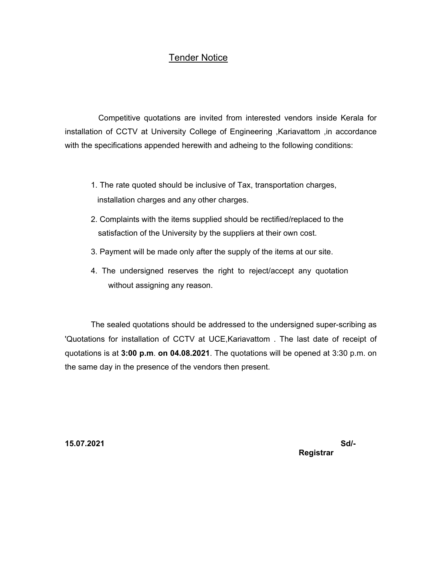## Tender Notice

Competitive quotations are invited from interested vendors inside Kerala for installation of CCTV at University College of Engineering ,Kariavattom ,in accordance with the specifications appended herewith and adheing to the following conditions:

- 1. The rate quoted should be inclusive of Tax, transportation charges, installation charges and any other charges.
- 2. Complaints with the items supplied should be rectified/replaced to the satisfaction of the University by the suppliers at their own cost.
- 3. Payment will be made only after the supply of the items at our site.
- 4. The undersigned reserves the right to reject/accept any quotation without assigning any reason.

The sealed quotations should be addressed to the undersigned super-scribing as 'Quotations for installation of CCTV at UCE,Kariavattom . The last date of receipt of quotations is at **3:00 p.m**. **on 04.08.2021**. The quotations will be opened at 3:30 p.m. on the same day in the presence of the vendors then present.

**15.07.2021 Sd/- Registrar**